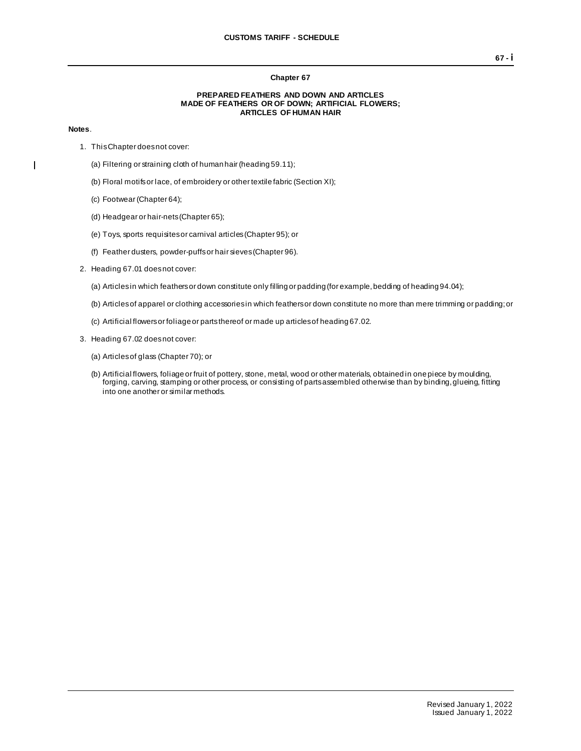## **Chapter 67**

## **PREPARED FEATHERS AND DOWN AND ARTICLES MADE OF FEATHERS OR OF DOWN; ARTIFICIAL FLOWERS; ARTICLES OF HUMAN HAIR**

## **Notes**.

 $\mathbf{I}$ 

- 1. This Chapter does not cover:
	- (a) Filtering or straining cloth of human hair (heading 59.11);
	- (b) Floral motifs or lace, of embroidery or other textile fabric (Section XI);
	- (c) Footwear (Chapter 64);
	- (d) Headgear or hair-nets (Chapter 65);
	- (e) Toys, sports requisites or carnival articles (Chapter 95); or
	- (f) Feather dusters, powder-puffs or hair sieves (Chapter 96).
- 2. Heading 67.01 does not cover:
	- (a) Articles in which feathers or down constitute only filling or padding (for example, bedding of heading 94.04);
	- (b) Articles of apparel or clothing accessories in which feathers or down constitute no more than mere trimming or padding; or
	- (c) Artificial flowers or foliage or parts thereof or made up articles of heading 67.02.
- 3. Heading 67.02 does not cover:
	- (a) Articles of glass (Chapter 70); or
	- (b) Artificial flowers, foliage or fruit of pottery, stone, metal, wood or other materials, obtained in one piece by moulding, forging, carving, stamping or other process, or consisting of parts assembled otherwise than by binding, glueing, fitting into one another or similar methods.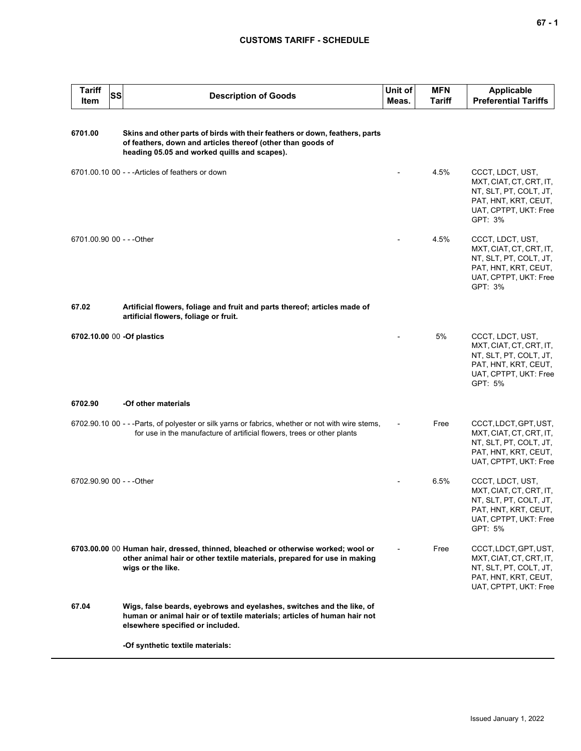## **CUSTOMS TARIFF - SCHEDULE**

| <b>Tariff</b><br>Item     | <b>SS</b> | <b>Description of Goods</b>                                                                                                                                                                | Unit of<br>Meas. | MFN<br><b>Tariff</b> | <b>Applicable</b><br><b>Preferential Tariffs</b>                                                                                  |
|---------------------------|-----------|--------------------------------------------------------------------------------------------------------------------------------------------------------------------------------------------|------------------|----------------------|-----------------------------------------------------------------------------------------------------------------------------------|
| 6701.00                   |           | Skins and other parts of birds with their feathers or down, feathers, parts<br>of feathers, down and articles thereof (other than goods of<br>heading 05.05 and worked quills and scapes). |                  |                      |                                                                                                                                   |
|                           |           | 6701.00.10 00 - - - Articles of feathers or down                                                                                                                                           |                  | 4.5%                 | CCCT, LDCT, UST,<br>MXT, CIAT, CT, CRT, IT,<br>NT, SLT, PT, COLT, JT,<br>PAT, HNT, KRT, CEUT,<br>UAT, CPTPT, UKT: Free<br>GPT: 3% |
| 6701.00.90 00 - - - Other |           |                                                                                                                                                                                            |                  | 4.5%                 | CCCT, LDCT, UST,<br>MXT, CIAT, CT, CRT, IT,<br>NT, SLT, PT, COLT, JT,<br>PAT, HNT, KRT, CEUT,<br>UAT, CPTPT, UKT: Free<br>GPT: 3% |
| 67.02                     |           | Artificial flowers, foliage and fruit and parts thereof; articles made of<br>artificial flowers, foliage or fruit.                                                                         |                  |                      |                                                                                                                                   |
|                           |           | 6702.10.00 00 -Of plastics                                                                                                                                                                 |                  | 5%                   | CCCT, LDCT, UST,<br>MXT, CIAT, CT, CRT, IT,<br>NT, SLT, PT, COLT, JT,<br>PAT, HNT, KRT, CEUT,<br>UAT, CPTPT, UKT: Free<br>GPT: 5% |
| 6702.90                   |           | -Of other materials                                                                                                                                                                        |                  |                      |                                                                                                                                   |
|                           |           | 6702.90.10 00 - - - Parts, of polyester or silk yarns or fabrics, whether or not with wire stems,<br>for use in the manufacture of artificial flowers, trees or other plants               |                  | Free                 | CCCT, LDCT, GPT, UST,<br>MXT, CIAT, CT, CRT, IT,<br>NT, SLT, PT, COLT, JT,<br>PAT, HNT, KRT, CEUT,<br>UAT, CPTPT, UKT: Free       |
| 6702.90.90 00 - - - Other |           |                                                                                                                                                                                            |                  | 6.5%                 | CCCT, LDCT, UST,<br>MXT, CIAT, CT, CRT, IT,<br>NT, SLT, PT, COLT, JT,<br>PAT, HNT, KRT, CEUT,<br>UAT, CPTPT, UKT: Free<br>GPT: 5% |
|                           |           | 6703.00.00 00 Human hair, dressed, thinned, bleached or otherwise worked; wool or<br>other animal hair or other textile materials, prepared for use in making<br>wigs or the like.         |                  | Free                 | CCCT, LDCT, GPT, UST,<br>MXT, CIAT, CT, CRT, IT,<br>NT, SLT, PT, COLT, JT,<br>PAT, HNT, KRT, CEUT,<br>UAT, CPTPT, UKT: Free       |
| 67.04                     |           | Wigs, false beards, eyebrows and eyelashes, switches and the like, of<br>human or animal hair or of textile materials; articles of human hair not<br>elsewhere specified or included.      |                  |                      |                                                                                                                                   |
|                           |           | -Of synthetic textile materials:                                                                                                                                                           |                  |                      |                                                                                                                                   |